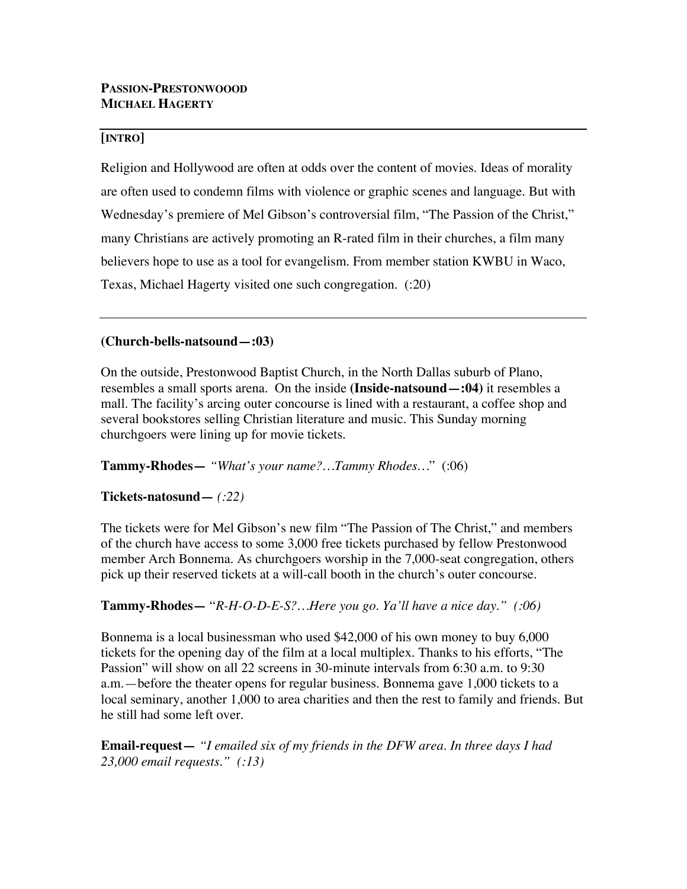## **[INTRO]**

Religion and Hollywood are often at odds over the content of movies. Ideas of morality are often used to condemn films with violence or graphic scenes and language. But with Wednesday's premiere of Mel Gibson's controversial film, "The Passion of the Christ," many Christians are actively promoting an R-rated film in their churches, a film many believers hope to use as a tool for evangelism. From member station KWBU in Waco, Texas, Michael Hagerty visited one such congregation. (:20)

### **(Church-bells-natsound—:03)**

On the outside, Prestonwood Baptist Church, in the North Dallas suburb of Plano, resembles a small sports arena. On the inside **(Inside-natsound—:04)** it resembles a mall. The facility's arcing outer concourse is lined with a restaurant, a coffee shop and several bookstores selling Christian literature and music. This Sunday morning churchgoers were lining up for movie tickets.

### **Tammy-Rhodes—** *"What's your name?…Tammy Rhodes…*" (:06)

# **Tickets-natosund—** *(:22)*

The tickets were for Mel Gibson's new film "The Passion of The Christ," and members of the church have access to some 3,000 free tickets purchased by fellow Prestonwood member Arch Bonnema. As churchgoers worship in the 7,000-seat congregation, others pick up their reserved tickets at a will-call booth in the church's outer concourse.

# **Tammy-Rhodes—** "*R-H-O-D-E-S?…Here you go. Ya'll have a nice day." (:06)*

Bonnema is a local businessman who used \$42,000 of his own money to buy 6,000 tickets for the opening day of the film at a local multiplex. Thanks to his efforts, "The Passion" will show on all 22 screens in 30-minute intervals from 6:30 a.m. to 9:30 a.m.—before the theater opens for regular business. Bonnema gave 1,000 tickets to a local seminary, another 1,000 to area charities and then the rest to family and friends. But he still had some left over.

**Email-request—** *"I emailed six of my friends in the DFW area. In three days I had 23,000 email requests." (:13)*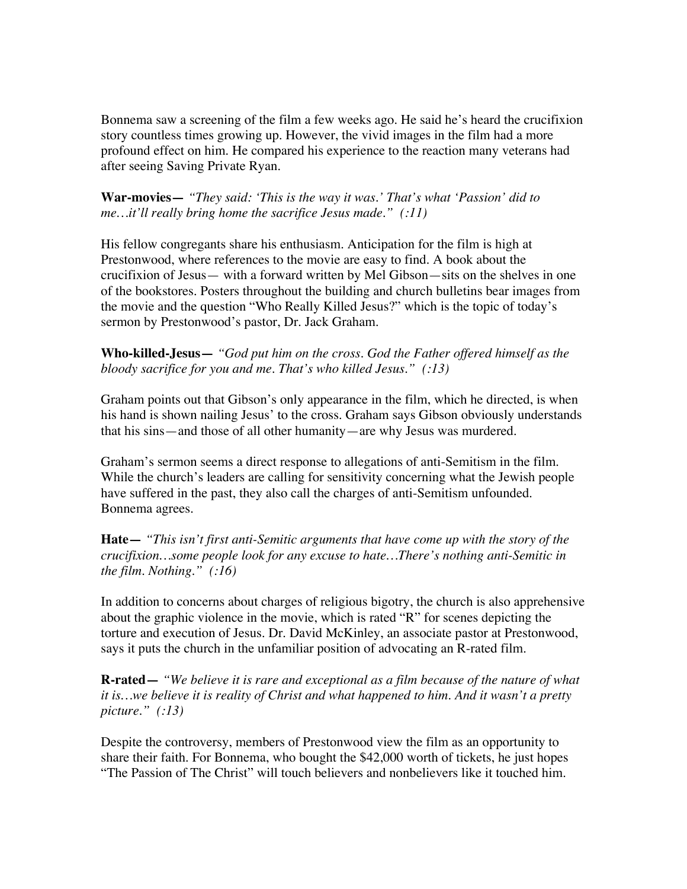Bonnema saw a screening of the film a few weeks ago. He said he's heard the crucifixion story countless times growing up. However, the vivid images in the film had a more profound effect on him. He compared his experience to the reaction many veterans had after seeing Saving Private Ryan.

**War-movies—** *"They said: 'This is the way it was.' That's what 'Passion' did to me…it'll really bring home the sacrifice Jesus made." (:11)*

His fellow congregants share his enthusiasm. Anticipation for the film is high at Prestonwood, where references to the movie are easy to find. A book about the crucifixion of Jesus— with a forward written by Mel Gibson—sits on the shelves in one of the bookstores. Posters throughout the building and church bulletins bear images from the movie and the question "Who Really Killed Jesus?" which is the topic of today's sermon by Prestonwood's pastor, Dr. Jack Graham.

**Who-killed-Jesus—** *"God put him on the cross. God the Father offered himself as the bloody sacrifice for you and me. That's who killed Jesus." (:13)*

Graham points out that Gibson's only appearance in the film, which he directed, is when his hand is shown nailing Jesus' to the cross. Graham says Gibson obviously understands that his sins—and those of all other humanity—are why Jesus was murdered.

Graham's sermon seems a direct response to allegations of anti-Semitism in the film. While the church's leaders are calling for sensitivity concerning what the Jewish people have suffered in the past, they also call the charges of anti-Semitism unfounded. Bonnema agrees.

**Hate—** *"This isn't first anti-Semitic arguments that have come up with the story of the crucifixion…some people look for any excuse to hate…There's nothing anti-Semitic in the film. Nothing." (:16)*

In addition to concerns about charges of religious bigotry, the church is also apprehensive about the graphic violence in the movie, which is rated "R" for scenes depicting the torture and execution of Jesus. Dr. David McKinley, an associate pastor at Prestonwood, says it puts the church in the unfamiliar position of advocating an R-rated film.

**R-rated—** *"We believe it is rare and exceptional as a film because of the nature of what it is…we believe it is reality of Christ and what happened to him. And it wasn't a pretty picture." (:13)*

Despite the controversy, members of Prestonwood view the film as an opportunity to share their faith. For Bonnema, who bought the \$42,000 worth of tickets, he just hopes "The Passion of The Christ" will touch believers and nonbelievers like it touched him.